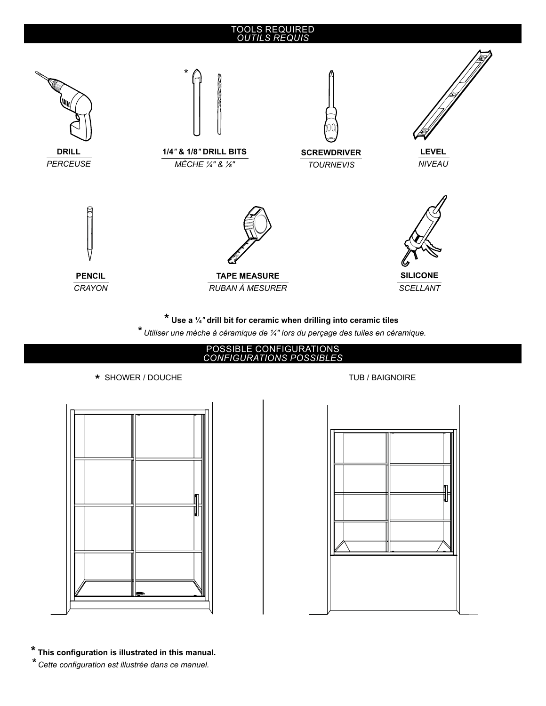## TOOLS REQUIRED *OUTILS REQUIS*



**\* Use a ¼***"* **drill bit for ceramic when drilling into ceramic tiles**

*\* Utiliser une mèche à céramique de ¼" lors du perçage des tuiles en céramique.*



## \* SHOWER / DOUCHE TUB / BAIGNOIRE





**\* This configuration is illustrated in this manual.**

*\* Cette configuration est illustrée dans ce manuel.*

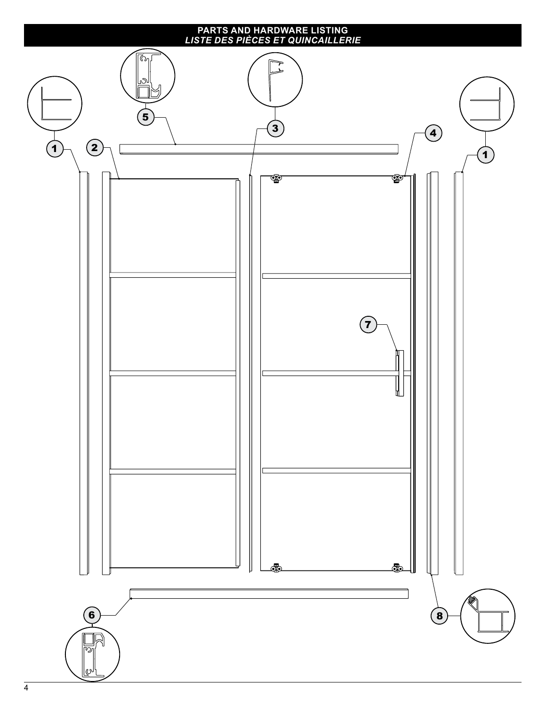## **PARTS AND HARDWARE LISTING** *LISTE DES PIÈCES ET QUINCAILLERIE*